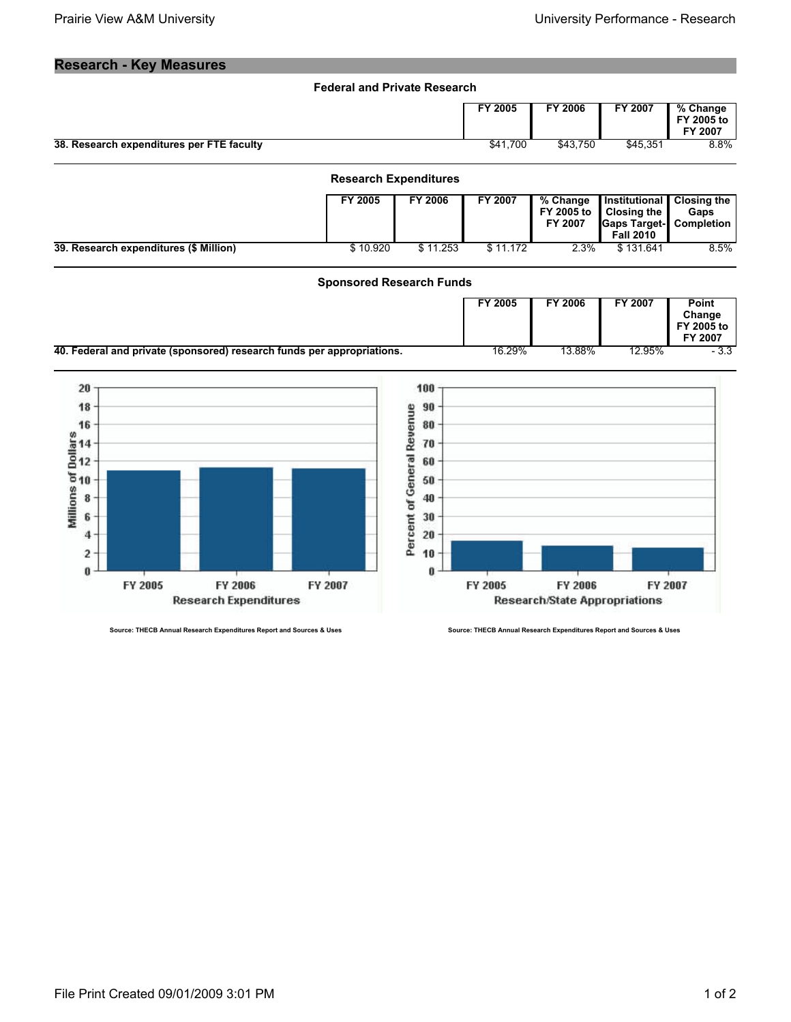## **Research - Key Measures**

| <b>Federal and Private Research</b>       |          |          |          |                                   |
|-------------------------------------------|----------|----------|----------|-----------------------------------|
|                                           | FY 2005  | FY 2006  | FY 2007  | % Change<br>FY 2005 to<br>FY 2007 |
| 38. Research expenditures per FTE faculty | \$41.700 | \$43.750 | \$45.351 | 8.8%                              |

|                                        | <b>Research Expenditures</b> |                |          |                            |                                                                                                             |                            |  |
|----------------------------------------|------------------------------|----------------|----------|----------------------------|-------------------------------------------------------------------------------------------------------------|----------------------------|--|
|                                        | FY 2005                      | <b>FY 2006</b> | FY 2007  | % Change<br><b>FY 2007</b> | Institutional  <br>FY 2005 to $\parallel$ Closing the<br><b>Gaps Target-</b> Completion<br><b>Fall 2010</b> | <b>Closing the</b><br>Gaps |  |
| 39. Research expenditures (\$ Million) | \$10.920                     | \$11.253       | \$11.172 | 2.3%                       | \$131.641                                                                                                   | 8.5%                       |  |

## **Sponsored Research Funds**

|                                                                        | FY 2005 | FY 2006 | FY 2007 | Point<br>Change<br>FY 2005 to<br>FY 2007 |
|------------------------------------------------------------------------|---------|---------|---------|------------------------------------------|
| 40. Federal and private (sponsored) research funds per appropriations. | 16.29%  | 13.88%  | 12.95%  | - 3.3                                    |



**Source: THECB Annual Research Expenditures Report and Sources & Uses Source: THECB Annual Research Expenditures Report and Sources & Uses**